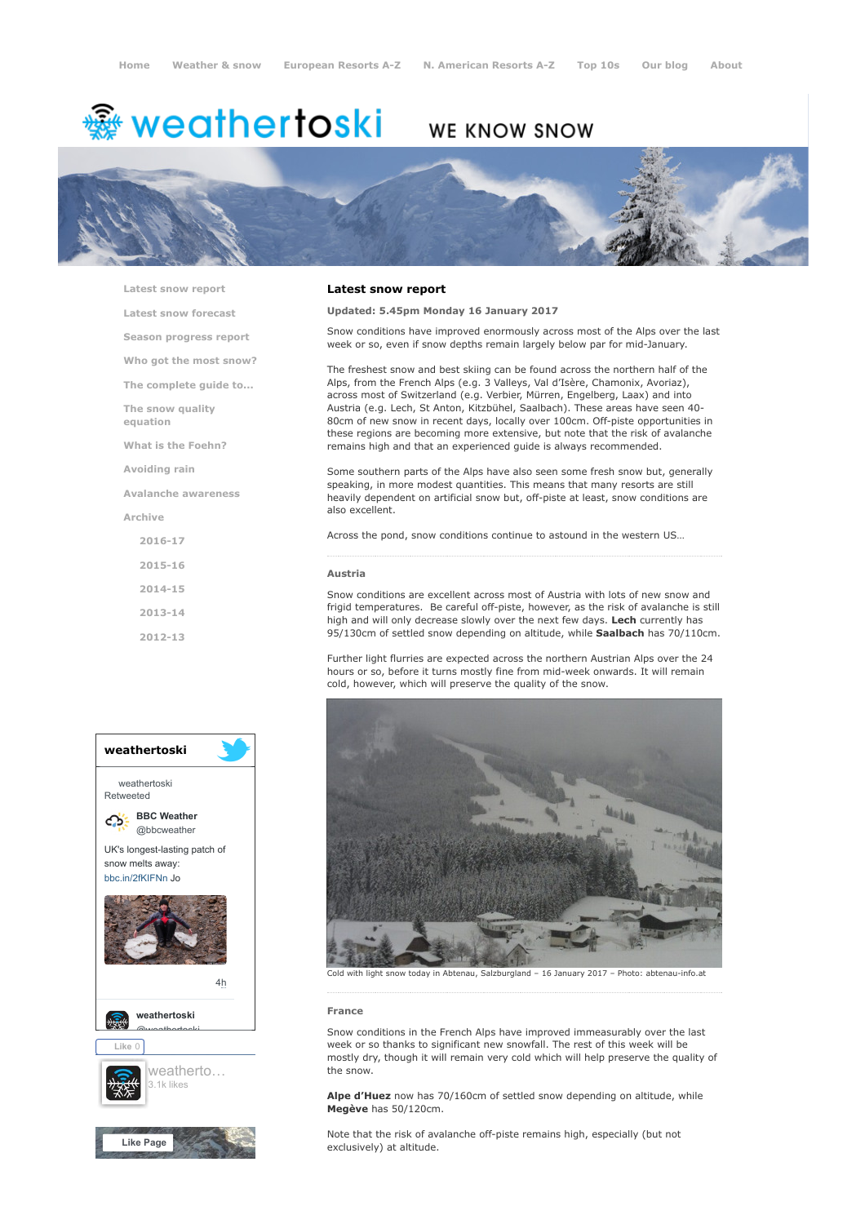# <del>鑾</del> weathertoski

# WE KNOW SNOW



[Latest snow report](https://www.weathertoski.co.uk/weather-snow/latest-snow-report/) [Latest snow forecast](https://www.weathertoski.co.uk/weather-snow/latest-snow-forecast/) [Season progress report](https://www.weathertoski.co.uk/weather-snow/season-progress-report/) [Who got the most snow?](https://www.weathertoski.co.uk/weather-snow/who-got-the-most-snow/) [The complete guide to...](https://www.weathertoski.co.uk/weather-snow/the-complete-guide-to/) [The snow quality](https://www.weathertoski.co.uk/weather-snow/the-snow-quality-equation/) equation [What is the Foehn?](https://www.weathertoski.co.uk/weather-snow/what-is-the-foehn/) [Avoiding rain](https://www.weathertoski.co.uk/weather-snow/avoiding-rain/) [Avalanche awareness](https://www.weathertoski.co.uk/weather-snow/avalanche-awareness/) [Archive](https://www.weathertoski.co.uk/weather-snow/archive/)

> [2016-17](https://www.weathertoski.co.uk/weather-snow/archive/2016-17/) [2015-16](https://www.weathertoski.co.uk/weather-snow/archive/2015-16/) [2014-15](https://www.weathertoski.co.uk/weather-snow/archive/2014-15/) [2013-14](https://www.weathertoski.co.uk/weather-snow/archive/2013-14/) [2012-13](https://www.weathertoski.co.uk/weather-snow/archive/2012-13/)



## Latest snow report

# Updated: 5.45pm Monday 16 January 2017

Snow conditions have improved enormously across most of the Alps over the last week or so, even if snow depths remain largely below par for mid-January.

The freshest snow and best skiing can be found across the northern half of the Alps, from the French Alps (e.g. 3 Valleys, Val d'Isère, Chamonix, Avoriaz), across most of Switzerland (e.g. Verbier, Mürren, Engelberg, Laax) and into Austria (e.g. Lech, St Anton, Kitzbühel, Saalbach). These areas have seen 40- 80cm of new snow in recent days, locally over 100cm. Off-piste opportunities in these regions are becoming more extensive, but note that the risk of avalanche remains high and that an experienced guide is always recommended.

Some southern parts of the Alps have also seen some fresh snow but, generally speaking, in more modest quantities. This means that many resorts are still heavily dependent on artificial snow but, off-piste at least, snow conditions are also excellent.

Across the pond, snow conditions continue to astound in the western US…

#### Austria

Snow conditions are excellent across most of Austria with lots of new snow and frigid temperatures. Be careful off-piste, however, as the risk of avalanche is still high and will only decrease slowly over the next few days. Lech currently has 95/130cm of settled snow depending on altitude, while Saalbach has 70/110cm.

Further light flurries are expected across the northern Austrian Alps over the 24 hours or so, before it turns mostly fine from mid-week onwards. It will remain cold, however, which will preserve the quality of the snow.



Cold with light snow today in Abtenau, Salzburgland – 16 January 2017 – Photo: abtenau-info.at

# France

Snow conditions in the French Alps have improved immeasurably over the last week or so thanks to significant new snowfall. The rest of this week will be mostly dry, though it will remain very cold which will help preserve the quality of the snow.

Alpe d'Huez now has 70/160cm of settled snow depending on altitude, while Megève has 50/120cm.

Note that the risk of avalanche off-piste remains high, especially (but not exclusively) at altitude.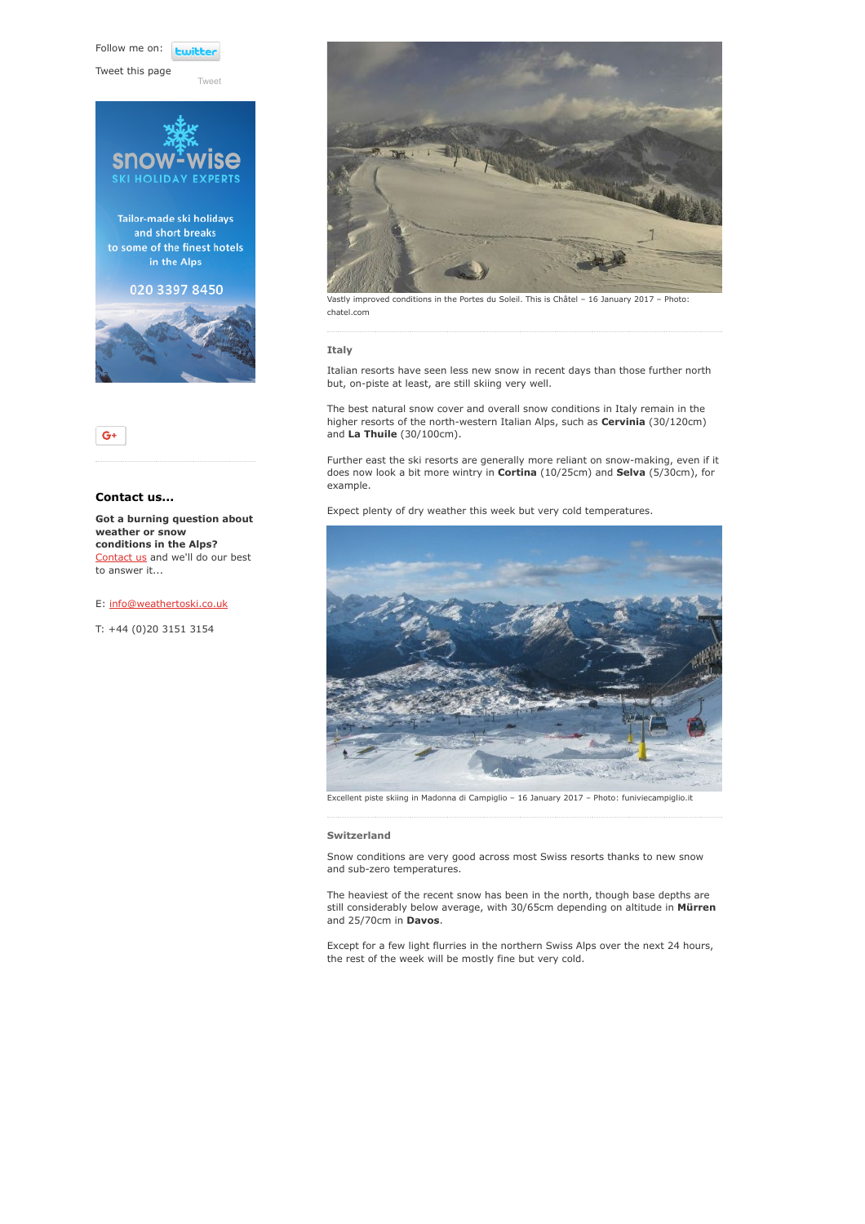Follow me on: **Luitt** 

[Tweet](https://twitter.com/intent/tweet?original_referer=https%3A%2F%2Fwww.weathertoski.co.uk%2Fweather-snow%2Farchive%2Fsnow-report-16-01-2017%2F&ref_src=twsrc%5Etfw&text=Weather%20to%20ski%20-%20Snow%20report%20-%2016%20January%202017&tw_p=tweetbutton&url=https%3A%2F%2Fwww.weathertoski.co.uk%2Fweather-snow%2Farchive%2Fsnow-report-16-01-2017%2F)

Tweet this page





# Contact us...

Got a burning question about weather or snow conditions in the Alps? [Contact us](https://www.weathertoski.co.uk/about-1/contact-us/) and we'll do our best to answer it...

E: [info@weathertoski.co.uk](mailto:fraser@weathertoski.co.uk)

T: +44 (0)20 3151 3154



Vastly improved conditions in the Portes du Soleil. This is Châtel – 16 January 2017 – Photo: chatel.com

#### Italy

Italian resorts have seen less new snow in recent days than those further north but, on-piste at least, are still skiing very well.

The best natural snow cover and overall snow conditions in Italy remain in the higher resorts of the north-western Italian Alps, such as Cervinia (30/120cm) and La Thuile (30/100cm).

Further east the ski resorts are generally more reliant on snow-making, even if it does now look a bit more wintry in Cortina (10/25cm) and Selva (5/30cm), for example.

Expect plenty of dry weather this week but very cold temperatures.



Excellent piste skiing in Madonna di Campiglio – 16 January 2017 – Photo: funiviecampiglio.it

## Switzerland

Snow conditions are very good across most Swiss resorts thanks to new snow and sub-zero temperatures.

The heaviest of the recent snow has been in the north, though base depths are still considerably below average, with 30/65cm depending on altitude in Mürren and 25/70cm in **Davos**.

Except for a few light flurries in the northern Swiss Alps over the next 24 hours, the rest of the week will be mostly fine but very cold.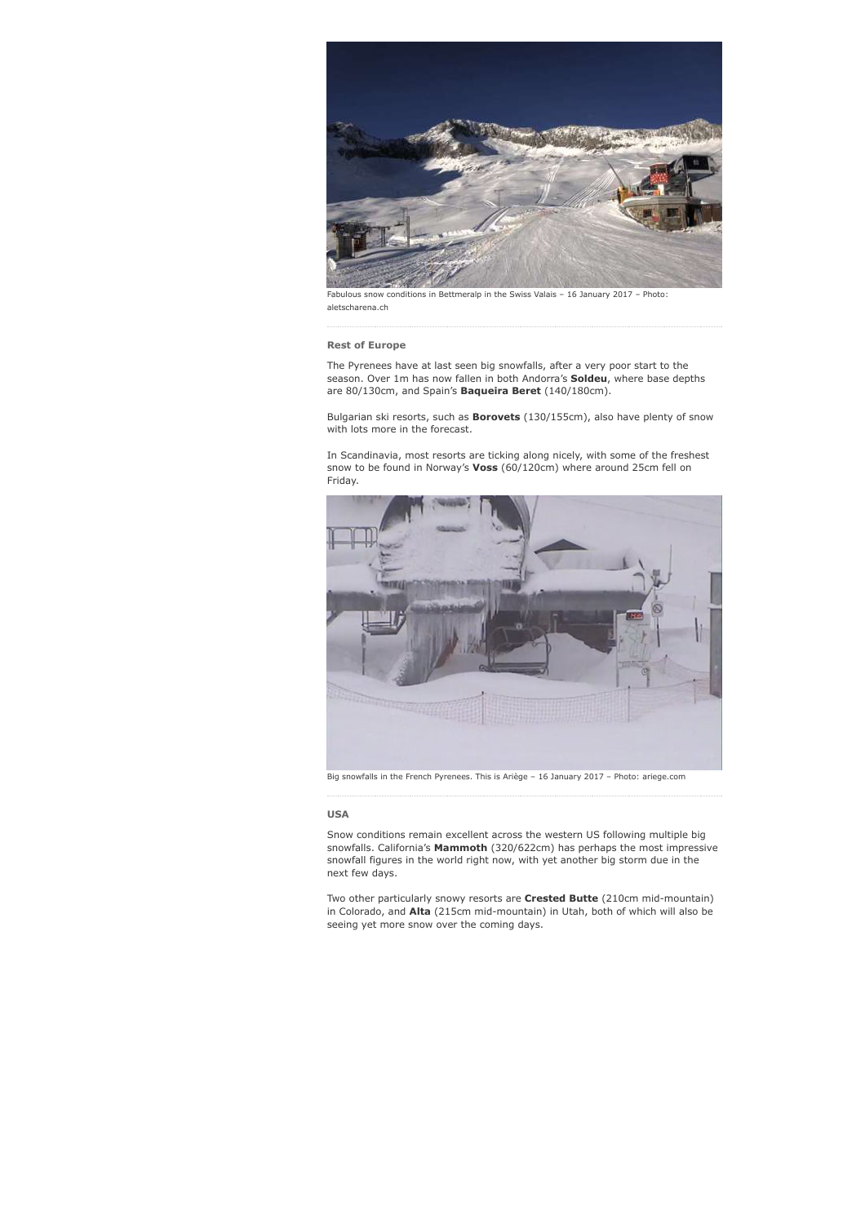

Fabulous snow conditions in Bettmeralp in the Swiss Valais – 16 January 2017 – Photo: aletscharena.ch

## Rest of Europe

The Pyrenees have at last seen big snowfalls, after a very poor start to the season. Over 1m has now fallen in both Andorra's Soldeu, where base depths are 80/130cm, and Spain's **Baqueira Beret** (140/180cm).

Bulgarian ski resorts, such as **Borovets** (130/155cm), also have plenty of snow with lots more in the forecast.

In Scandinavia, most resorts are ticking along nicely, with some of the freshest snow to be found in Norway's Voss (60/120cm) where around 25cm fell on Friday.



Big snowfalls in the French Pyrenees. This is Ariège – 16 January 2017 – Photo: ariege.com

#### USA

Snow conditions remain excellent across the western US following multiple big snowfalls. California's Mammoth (320/622cm) has perhaps the most impressive snowfall figures in the world right now, with yet another big storm due in the next few days.

Two other particularly snowy resorts are Crested Butte (210cm mid-mountain) in Colorado, and Alta (215cm mid-mountain) in Utah, both of which will also be seeing yet more snow over the coming days.